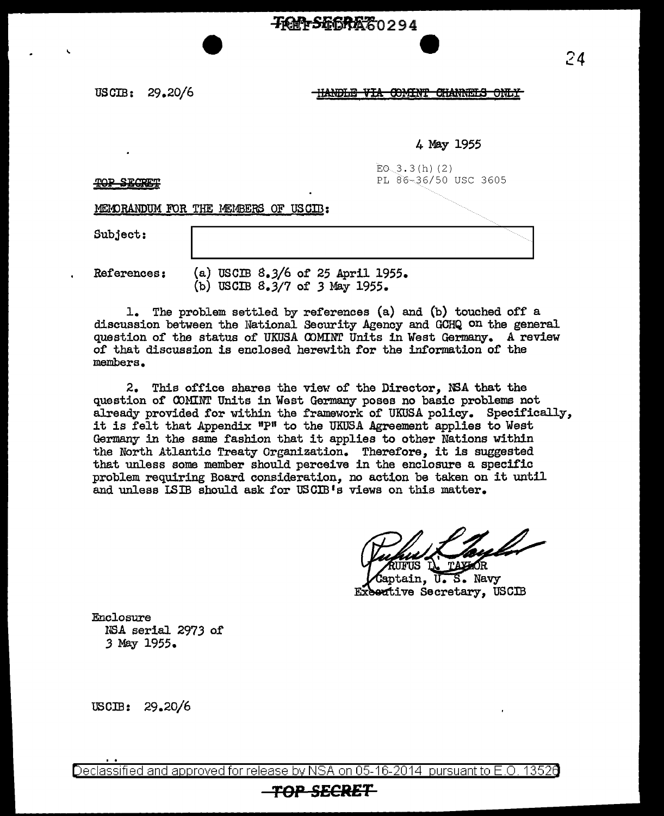## **-76N-SE6REZ0294**

USCIB: 29.20/6

\,

HANDLE VIA COMINT CHANNELS ONLY

**e** 

4 May 1955

 $EO.3.3(h) (2)$ PL S6~36/50 USC 3605

TOP SECRET

MEMORANDUM FOR THE MEMBERS OF USCIB:

Subject:

References: (a) USCIB 8.3/6 of 25 April 1955.  $(b)$  USCIB  $8.3/7$  of  $3$  May 1955.

1. The problem settled by references (a) and (b) touched off a discussion between the National Security Agency and GCHQ on the general question of the status of UKUSA COMINT Units in West Germany. A review of that discussion is enclosed herewith for the information of the members •

.2. This office shares the view of the Director, NSA that the question of COMINT Units in West Germany poses no basic problems not already provided for within the framework of UKUSA policy. Specifically, it is felt that Appendix "P" to the UKUSA Agreement applies to West Germany in the same fashion that it applies to other Nations within the North Atlantic Treaty Organization. Therefore, it is suggested that unless some member should perceive in the enclosure a specific problem requiring Board consideration, no action be taken on it until and unless ISIB should ask for USCIB 1s views on this matter.

Gaptain. U.S. Navy Executive Secretary, USCIB

Enclosure IJSA serial 297 *3* o.r *3* May 1955.

 $\text{USCIB:} \quad 29.20/6$ 

Declassified and approved for release by NSA on 05-16-2014 pursuantto E .0. 1352a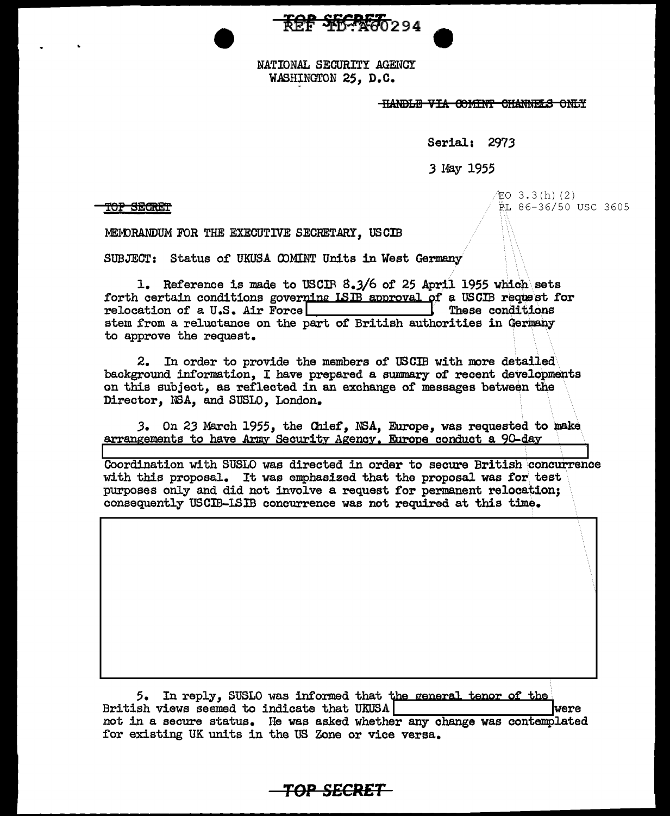**THE SECRETO** 294

NATIONAL SECURITY AGENCY WASHINGTON 25, D.C.

**HANDLE VIA COMINT CHANNELS ONLY** 

Serial: 2973

3 May 1955

T<del>OP SEGRET</del>

 $EO$  3.3 $(h)$  (2) PL 86-36/50 USC 3605

MEMORANDUM FOR THE EXECUTIVE SECRETARY, USCIB

SUBJECT: Status of UKUSA COMINT Units in West Germany

1. Reference is made to USCIR 8.3/6 of 25 April 1955 which sets forth certain conditions governing ISIB approval of a USCIB request for relocation of a U.S. Air Force These conditions stem from a reluctance on the part of British authorities in Germany to approve the request.

2. In order to provide the members of USCIB with more detailed background information, I have prepared a summary of recent developments on this subject, as reflected in an exchange of messages between the Director, NSA, and SUSLO, London.

3. On 23 March 1955, the Chief, NSA, Europe, was requested to make arrangements to have Army Security Agency. Europe conduct a 90-day

Coordination with SUSLO was directed in order to secure British concurrence with this proposal. It was emphasized that the proposal was for test purposes only and did not involve a request for permanent relocation; consequently USCIB-ISIB concurrence was not required at this time.

5. In reply, SUSLO was informed that the general tenor of the British views seemed to indicate that UKUSA were not in a secure status. He was asked whether any change was contemplated for existing UK units in the US Zone or vice versa.

TOP SECRET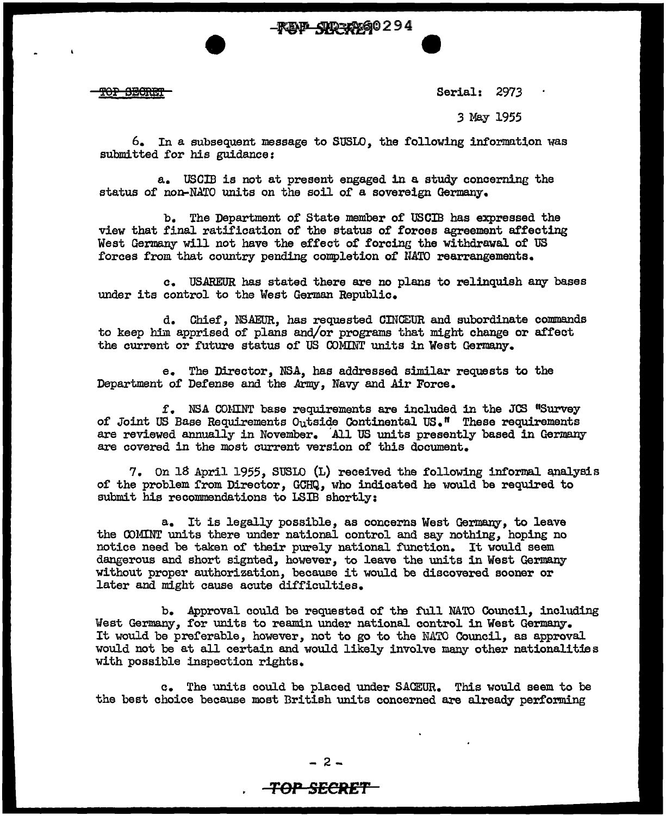-**FEY-SHEX290294** 

THORE TOP

Serial: 2973

**e** 

*3* May 1955

 $6.$  In a subsequent message to SUSLO, the following information was submitted for his guidance:

a. USCIB is not at present engaged in a study concerning the status of non-NATO units on the soil of a sovereign Germany.

b. The Department of State member of USCIB has expressed the view that final ratification of the status of forces agreement affecting West Germany will not have the effect of forcing the withdrawal of US forces from that country pending completion of NATO rearrangements.

c. USAREUR has stated there are no plans to relinquish any bases under its control to the West German Republic.

d. Chief, NS.A.EUR, has requested ODJGEUR and subordinate commands to keep him apprised of plans and/or programs that might change or affect the current or future status of US COMINT units in West Germany.

e. The Director, NSA, has addressed similar requests to the Department of Defense and the Army, Navy and Air Force.

 $f.$  NSA COMINT base requirements are included in the JCS "Survey of Joint US Base Requirements  $O_{11}$ tside Continental US." These requirements are reviewed annually in November. 'All US units presently based in Germany are covered in the most current version of this document.

7. On 18 April 1955, SUSLO (L) received the following informal analysis of the problem from Director, GCHQ, who indicated he would be required to submit his recommendations to LSIB shortly:

a. It is legally possible, as concerns West Germany, to leave the OOMINT units there under national control and say nothing, hoping no notice need be taken of their purely national function. It would seem dangerous and short signted, however, to leave the units in West Germany without proper authorization, because it would be discovered sooner or later and might cause acute difficulties.

b. Approval could be requested of the full NATO Council, including West Germany, for units to reamin under national control in West Germany. It would be preferable, however, not to go to the N.ATO Council, as approval would not be at all certain and would likely involve many other nationalities with possible inspection rights.

c. The units could be placed under SACEUR. This would seem to be the best choice because most British units concerned are already performing

## **TOP SECRE'f'**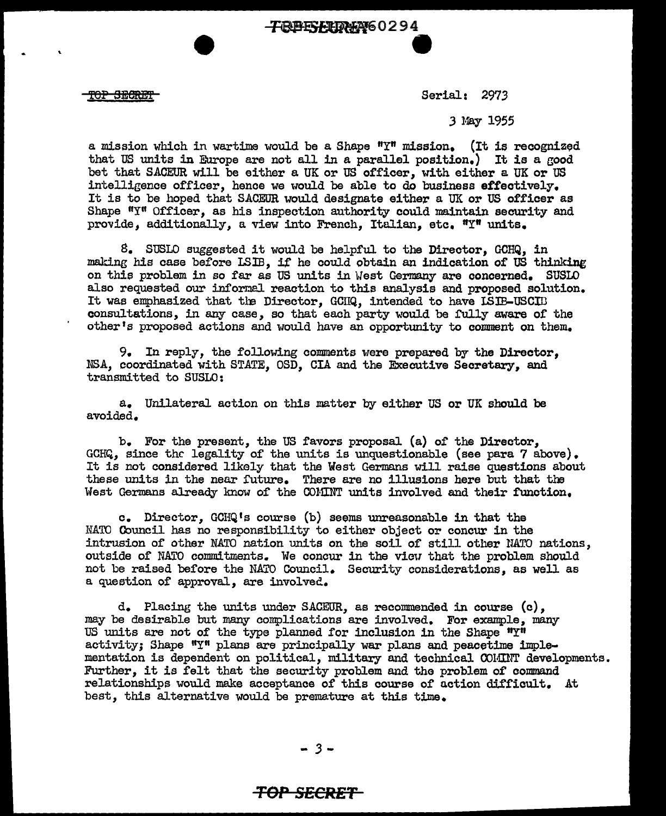<del>TOP SECRET</del>

Serial: 2973

*3* May 1955

a mission which in wartime would be a Shape  $"Y"$  mission. (It is recognized that US units in Europe are not all in a parallel position.) It is a good bet that SACEUR will be either a UK or US officer, with either a UK or US intelligence officer, hence we would be able to do business effectively. It is to be hoped that SACEUR would designate either a UK or US officer as Shape  $\mathbf{H}_1\mathbf{W}_1$  Officer, as his inspection authority could maintain security and provide, additionally, a view into French, Italian, etc.  $T_T$  units.

8. SUSLO suggested it would be helpful to the Director, GCHQ, in making his case before LSIB, if he could obtain an indication of US thinking on this problem in so far as US units in West Germany are concerned. SUSLO also requested our informal reaction to this analysis and proposed solution. It was emphasized that the Director, GCIIQ, intended to have ISIB-USCID consultations, in any case, so that each party would be fully aware of the other's proposed actions and would have an opportunity to comment on them.

9. In reply, the following comments were prepared by the Director, NSA, coordinated with STATE, OSD, CIA and the Executive Secretary, and transmitted to SUSLO:

a. Unilateral action on this matter by either US or UK should be avoided.

b. For the present, the US favors proposal (a) of the Director, GCHQ, since the legality of the units is unquestionable (see para 7 above). It is not considered likely that the West Germans will raise questions about these units in the near future. There are no illusions here but that the West Germans already know of the COMINT units involved and their function.

c. Director, GCHQ 1s course (b) seems unreasonable in that the NATO Council has no responsibility to either object or concur in the intrusion of other NATO nation units on the soil of still other UATO nations, outside of NATO commitments. We concur in the vicu that the problem should not be raised before the NATO Council. Security considerations, as well as a question of approval, are involved.

d. Placing the units under SACEUR, as recommended in course  $(c)$ , may be desirable but many complications are involved. For example, many US units are not of the type planned for inclusion in the Shape  $''Y''$ activity; Shape "Y" plans are principally war plans and peacetime implementation is dependent on political, military and technical COMINT developments. Further, it is felt that the security problem and the problem of command relationships would make acceptance of this course of uction difficult. At best, this alternative would be premature at this time.

- *3* -

## **TOP SECRET**